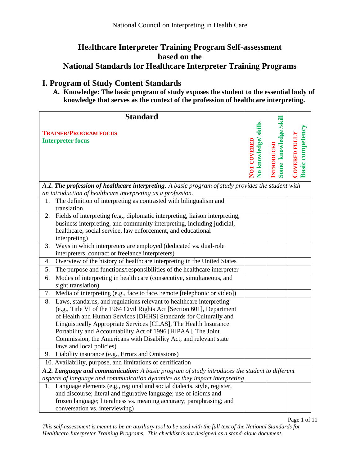## **He**a**lthcare Interpreter Training Program Self-assessment based on the National Standards for Healthcare Interpreter Training Programs**

## **I. Program of Study Content Standards**

**A. Knowledge: The basic program of study exposes the student to the essential body of knowledge that serves as the context of the profession of healthcare interpreting.**

| <b>Standard</b>                                                                                    |                                               |                                            |                                                 |
|----------------------------------------------------------------------------------------------------|-----------------------------------------------|--------------------------------------------|-------------------------------------------------|
| <b>TRAINER/PROGRAM FOCUS</b><br><b>Interpreter focus</b>                                           | <b>skills</b><br>No knowledge/<br>NOT COVERED | Some knowledge /skill<br><b>INTRODUCED</b> | <b>Basic competency</b><br><b>COVERED FULLY</b> |
| A.1. The profession of healthcare interpreting: A basic program of study provides the student with |                                               |                                            |                                                 |
| an introduction of healthcare interpreting as a profession.                                        |                                               |                                            |                                                 |
| The definition of interpreting as contrasted with bilingualism and<br>1.                           |                                               |                                            |                                                 |
| translation                                                                                        |                                               |                                            |                                                 |
| Fields of interpreting (e.g., diplomatic interpreting, liaison interpreting,<br>2.                 |                                               |                                            |                                                 |
| business interpreting, and community interpreting, including judicial,                             |                                               |                                            |                                                 |
| healthcare, social service, law enforcement, and educational                                       |                                               |                                            |                                                 |
| interpreting)<br>3.<br>Ways in which interpreters are employed (dedicated vs. dual-role            |                                               |                                            |                                                 |
| interpreters, contract or freelance interpreters)                                                  |                                               |                                            |                                                 |
| Overview of the history of healthcare interpreting in the United States<br>4.                      |                                               |                                            |                                                 |
| 5.<br>The purpose and functions/responsibilities of the healthcare interpreter                     |                                               |                                            |                                                 |
| Modes of interpreting in health care (consecutive, simultaneous, and<br>6.                         |                                               |                                            |                                                 |
| sight translation)                                                                                 |                                               |                                            |                                                 |
| Media of interpreting (e.g., face to face, remote [telephonic or video])<br>7.                     |                                               |                                            |                                                 |
| Laws, standards, and regulations relevant to healthcare interpreting<br>8.                         |                                               |                                            |                                                 |
| (e.g., Title VI of the 1964 Civil Rights Act [Section 601], Department                             |                                               |                                            |                                                 |
| of Health and Human Services [DHHS] Standards for Culturally and                                   |                                               |                                            |                                                 |
| Linguistically Appropriate Services [CLAS], The Health Insurance                                   |                                               |                                            |                                                 |
| Portability and Accountability Act of 1996 [HIPAA], The Joint                                      |                                               |                                            |                                                 |
| Commission, the Americans with Disability Act, and relevant state                                  |                                               |                                            |                                                 |
| laws and local policies)                                                                           |                                               |                                            |                                                 |
| 9. Liability insurance (e.g., Errors and Omissions)                                                |                                               |                                            |                                                 |
| 10. Availability, purpose, and limitations of certification                                        |                                               |                                            |                                                 |
| A.2. Language and communication: A basic program of study introduces the student to different      |                                               |                                            |                                                 |
| aspects of language and communication dynamics as they impact interpreting                         |                                               |                                            |                                                 |
| Language elements (e.g., regional and social dialects, style, register,<br>1.                      |                                               |                                            |                                                 |
| and discourse; literal and figurative language; use of idioms and                                  |                                               |                                            |                                                 |
| frozen language; literalness vs. meaning accuracy; paraphrasing; and                               |                                               |                                            |                                                 |
| conversation vs. interviewing)                                                                     |                                               |                                            |                                                 |

Page 1 of 11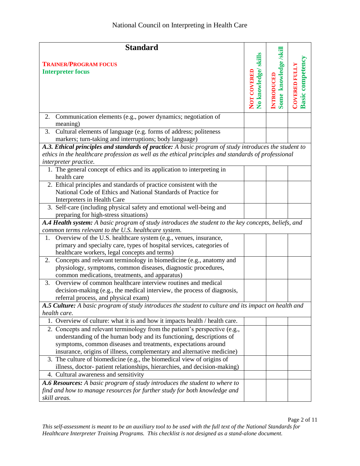| <b>Standard</b>                                                                                                                                                                                                                       |                                        |                                   |                                                 |
|---------------------------------------------------------------------------------------------------------------------------------------------------------------------------------------------------------------------------------------|----------------------------------------|-----------------------------------|-------------------------------------------------|
| <b>TRAINER/PROGRAM FOCUS</b><br><b>Interpreter focus</b>                                                                                                                                                                              | skills<br>No knowledge/<br>NOT COVERED | Some knowledge/skil<br>INTRODUCED | <b>Basic competency</b><br><b>COVERED FULLY</b> |
| Communication elements (e.g., power dynamics; negotiation of<br>2.<br>meaning)                                                                                                                                                        |                                        |                                   |                                                 |
| Cultural elements of language (e.g. forms of address; politeness<br>3.<br>markers; turn-taking and interruptions; body language)                                                                                                      |                                        |                                   |                                                 |
| A.3. Ethical principles and standards of practice: A basic program of study introduces the student to<br>ethics in the healthcare profession as well as the ethical principles and standards of professional<br>interpreter practice. |                                        |                                   |                                                 |
| 1. The general concept of ethics and its application to interpreting in<br>health care                                                                                                                                                |                                        |                                   |                                                 |
| 2. Ethical principles and standards of practice consistent with the<br>National Code of Ethics and National Standards of Practice for<br>Interpreters in Health Care                                                                  |                                        |                                   |                                                 |
| 3. Self-care (including physical safety and emotional well-being and<br>preparing for high-stress situations)                                                                                                                         |                                        |                                   |                                                 |
| A.4 Health system: A basic program of study introduces the student to the key concepts, beliefs, and<br>common terms relevant to the U.S. healthcare system.                                                                          |                                        |                                   |                                                 |
| Overview of the U.S. healthcare system (e.g., venues, insurance,<br>1.<br>primary and specialty care, types of hospital services, categories of<br>healthcare workers, legal concepts and terms)                                      |                                        |                                   |                                                 |
| Concepts and relevant terminology in biomedicine (e.g., anatomy and<br>2.<br>physiology, symptoms, common diseases, diagnostic procedures,<br>common medications, treatments, and apparatus)                                          |                                        |                                   |                                                 |
| Overview of common healthcare interview routines and medical<br>3.<br>decision-making (e.g., the medical interview, the process of diagnosis,<br>referral process, and physical exam)                                                 |                                        |                                   |                                                 |
| A.5 Culture: A basic program of study introduces the student to culture and its impact on health and<br>health care.                                                                                                                  |                                        |                                   |                                                 |
| 1. Overview of culture: what it is and how it impacts health / health care.                                                                                                                                                           |                                        |                                   |                                                 |
| 2. Concepts and relevant terminology from the patient's perspective (e.g.,<br>understanding of the human body and its functioning, descriptions of<br>symptoms, common diseases and treatments, expectations around                   |                                        |                                   |                                                 |
| insurance, origins of illness, complementary and alternative medicine)<br>3. The culture of biomedicine (e.g., the biomedical view of origins of<br>illness, doctor- patient relationships, hierarchies, and decision-making)         |                                        |                                   |                                                 |
| 4. Cultural awareness and sensitivity                                                                                                                                                                                                 |                                        |                                   |                                                 |
| A.6 Resources: A basic program of study introduces the student to where to                                                                                                                                                            |                                        |                                   |                                                 |
| find and how to manage resources for further study for both knowledge and<br>skill areas.                                                                                                                                             |                                        |                                   |                                                 |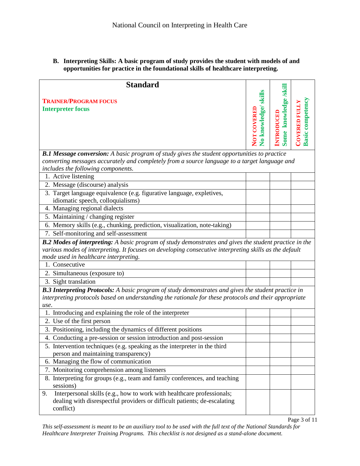#### **B. Interpreting Skills: A basic program of study provides the student with models of and opportunities for practice in the foundational skills of healthcare interpreting.**

| <b>Standard</b>                                                                                                                                                                                                                                           |                                                      |                                            |                                                 |
|-----------------------------------------------------------------------------------------------------------------------------------------------------------------------------------------------------------------------------------------------------------|------------------------------------------------------|--------------------------------------------|-------------------------------------------------|
| <b>TRAINER/PROGRAM FOCUS</b><br><b>Interpreter focus</b>                                                                                                                                                                                                  | <b>skills</b><br>No knowledge/<br><b>NOT COVERED</b> | Some knowledge /skill<br><b>INTRODUCED</b> | <b>Basic competency</b><br><b>COVERED FULLY</b> |
| <b>B.1 Message conversion:</b> A basic program of study gives the student opportunities to practice<br>converting messages accurately and completely from a source language to a target language and<br>includes the following components.                |                                                      |                                            |                                                 |
| 1. Active listening                                                                                                                                                                                                                                       |                                                      |                                            |                                                 |
| 2. Message (discourse) analysis                                                                                                                                                                                                                           |                                                      |                                            |                                                 |
| 3. Target language equivalence (e.g. figurative language, expletives,<br>idiomatic speech, colloquialisms)                                                                                                                                                |                                                      |                                            |                                                 |
| 4. Managing regional dialects                                                                                                                                                                                                                             |                                                      |                                            |                                                 |
| 5. Maintaining / changing register                                                                                                                                                                                                                        |                                                      |                                            |                                                 |
| 6. Memory skills (e.g., chunking, prediction, visualization, note-taking)                                                                                                                                                                                 |                                                      |                                            |                                                 |
| 7. Self-monitoring and self-assessment                                                                                                                                                                                                                    |                                                      |                                            |                                                 |
| B.2 Modes of interpreting: A basic program of study demonstrates and gives the student practice in the<br>various modes of interpreting. It focuses on developing consecutive interpreting skills as the default<br>mode used in healthcare interpreting. |                                                      |                                            |                                                 |
| 1. Consecutive                                                                                                                                                                                                                                            |                                                      |                                            |                                                 |
| 2. Simultaneous (exposure to)                                                                                                                                                                                                                             |                                                      |                                            |                                                 |
| 3. Sight translation                                                                                                                                                                                                                                      |                                                      |                                            |                                                 |
| B.3 Interpreting Protocols: A basic program of study demonstrates and gives the student practice in<br>interpreting protocols based on understanding the rationale for these protocols and their appropriate<br>use.                                      |                                                      |                                            |                                                 |
| 1. Introducing and explaining the role of the interpreter                                                                                                                                                                                                 |                                                      |                                            |                                                 |
| 2. Use of the first person                                                                                                                                                                                                                                |                                                      |                                            |                                                 |
| 3. Positioning, including the dynamics of different positions                                                                                                                                                                                             |                                                      |                                            |                                                 |
| 4. Conducting a pre-session or session introduction and post-session                                                                                                                                                                                      |                                                      |                                            |                                                 |
| 5. Intervention techniques (e.g. speaking as the interpreter in the third<br>person and maintaining transparency)                                                                                                                                         |                                                      |                                            |                                                 |
| 6. Managing the flow of communication                                                                                                                                                                                                                     |                                                      |                                            |                                                 |
| 7. Monitoring comprehension among listeners                                                                                                                                                                                                               |                                                      |                                            |                                                 |
| 8. Interpreting for groups (e.g., team and family conferences, and teaching<br>sessions)                                                                                                                                                                  |                                                      |                                            |                                                 |
| Interpersonal skills (e.g., how to work with healthcare professionals;<br>9.<br>dealing with disrespectful providers or difficult patients; de-escalating<br>conflict)                                                                                    |                                                      |                                            |                                                 |

Page 3 of 11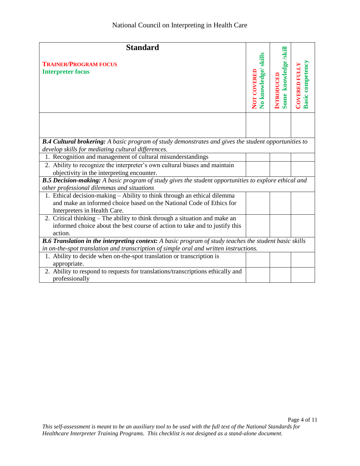| <b>Standard</b>                                                                                                                                    |                                               |                                            |                                                 |
|----------------------------------------------------------------------------------------------------------------------------------------------------|-----------------------------------------------|--------------------------------------------|-------------------------------------------------|
| <b>TRAINER/PROGRAM FOCUS</b><br><b>Interpreter focus</b>                                                                                           | skills<br>No knowledge/<br><b>NOT COVERED</b> | Some knowledge /skill<br><b>INTRODUCED</b> | <b>Basic competency</b><br><b>COVERED FULLY</b> |
|                                                                                                                                                    |                                               |                                            |                                                 |
| <b>B.4 Cultural brokering:</b> A basic program of study demonstrates and gives the student opportunities to                                        |                                               |                                            |                                                 |
| develop skills for mediating cultural differences.                                                                                                 |                                               |                                            |                                                 |
| 1. Recognition and management of cultural misunderstandings                                                                                        |                                               |                                            |                                                 |
| 2. Ability to recognize the interpreter's own cultural biases and maintain                                                                         |                                               |                                            |                                                 |
| objectivity in the interpreting encounter.                                                                                                         |                                               |                                            |                                                 |
| B.5 Decision-making: A basic program of study gives the student opportunities to explore ethical and<br>other professional dilemmas and situations |                                               |                                            |                                                 |
| 1. Ethical decision-making - Ability to think through an ethical dilemma                                                                           |                                               |                                            |                                                 |
| and make an informed choice based on the National Code of Ethics for                                                                               |                                               |                                            |                                                 |
| Interpreters in Health Care.                                                                                                                       |                                               |                                            |                                                 |
| 2. Critical thinking – The ability to think through a situation and make an                                                                        |                                               |                                            |                                                 |
| informed choice about the best course of action to take and to justify this                                                                        |                                               |                                            |                                                 |
| action.                                                                                                                                            |                                               |                                            |                                                 |
| B.6 Translation in the interpreting context: A basic program of study teaches the student basic skills                                             |                                               |                                            |                                                 |
| in on-the-spot translation and transcription of simple oral and written instructions.                                                              |                                               |                                            |                                                 |
| 1. Ability to decide when on-the-spot translation or transcription is                                                                              |                                               |                                            |                                                 |
| appropriate.                                                                                                                                       |                                               |                                            |                                                 |
| 2. Ability to respond to requests for translations/transcriptions ethically and                                                                    |                                               |                                            |                                                 |
| professionally                                                                                                                                     |                                               |                                            |                                                 |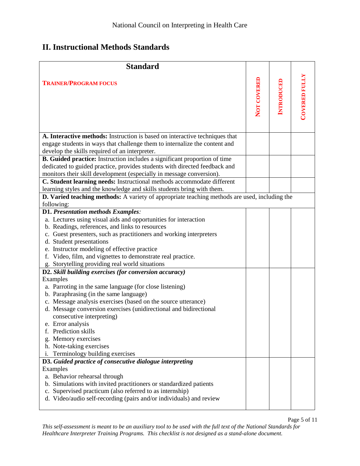# **II. Instructional Methods Standards**

| <b>Standard</b>                                                                                                                                                                                                                                                                                                                                                                                                          |                    |                   |                      |
|--------------------------------------------------------------------------------------------------------------------------------------------------------------------------------------------------------------------------------------------------------------------------------------------------------------------------------------------------------------------------------------------------------------------------|--------------------|-------------------|----------------------|
| <b>TRAINER/PROGRAM FOCUS</b>                                                                                                                                                                                                                                                                                                                                                                                             | <b>NOT COVERED</b> | <b>INTRODUCED</b> | <b>COVERED FULLY</b> |
| A. Interactive methods: Instruction is based on interactive techniques that<br>engage students in ways that challenge them to internalize the content and                                                                                                                                                                                                                                                                |                    |                   |                      |
| develop the skills required of an interpreter.<br>B. Guided practice: Instruction includes a significant proportion of time                                                                                                                                                                                                                                                                                              |                    |                   |                      |
| dedicated to guided practice, provides students with directed feedback and<br>monitors their skill development (especially in message conversion).                                                                                                                                                                                                                                                                       |                    |                   |                      |
| C. Student learning needs: Instructional methods accommodate different<br>learning styles and the knowledge and skills students bring with them.                                                                                                                                                                                                                                                                         |                    |                   |                      |
| D. Varied teaching methods: A variety of appropriate teaching methods are used, including the<br>following:                                                                                                                                                                                                                                                                                                              |                    |                   |                      |
| <b>D1. Presentation methods Examples:</b>                                                                                                                                                                                                                                                                                                                                                                                |                    |                   |                      |
| a. Lectures using visual aids and opportunities for interaction<br>b. Readings, references, and links to resources<br>c. Guest presenters, such as practitioners and working interpreters<br>d. Student presentations<br>e. Instructor modeling of effective practice<br>f. Video, film, and vignettes to demonstrate real practice.<br>g. Storytelling providing real world situations                                  |                    |                   |                      |
| D2. Skill building exercises (for conversion accuracy)                                                                                                                                                                                                                                                                                                                                                                   |                    |                   |                      |
| Examples<br>a. Parroting in the same language (for close listening)<br>b. Paraphrasing (in the same language)<br>c. Message analysis exercises (based on the source utterance)<br>d. Message conversion exercises (unidirectional and bidirectional<br>consecutive interpreting)<br>e. Error analysis<br>f. Prediction skills<br>g. Memory exercises<br>h. Note-taking exercises<br>Terminology building exercises<br>1. |                    |                   |                      |
| D3. Guided practice of consecutive dialogue interpreting<br>Examples<br>a. Behavior rehearsal through<br>b. Simulations with invited practitioners or standardized patients<br>c. Supervised practicum (also referred to as internship)<br>d. Video/audio self-recording (pairs and/or individuals) and review                                                                                                           |                    |                   |                      |

Page 5 of 11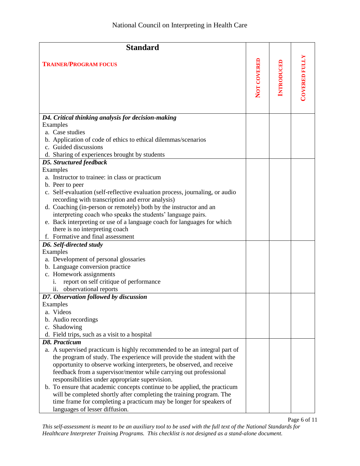| <b>Standard</b>                                                              |                    |                   |                      |
|------------------------------------------------------------------------------|--------------------|-------------------|----------------------|
| <b>TRAINER/PROGRAM FOCUS</b>                                                 | <b>NOT COVERED</b> | <b>INTRODUCED</b> | <b>COVERED FULLY</b> |
| D4. Critical thinking analysis for decision-making                           |                    |                   |                      |
| Examples                                                                     |                    |                   |                      |
| a. Case studies                                                              |                    |                   |                      |
| b. Application of code of ethics to ethical dilemmas/scenarios               |                    |                   |                      |
| c. Guided discussions                                                        |                    |                   |                      |
| d. Sharing of experiences brought by students                                |                    |                   |                      |
| <b>D5. Structured feedback</b>                                               |                    |                   |                      |
| Examples                                                                     |                    |                   |                      |
| a. Instructor to trainee: in class or practicum<br>b. Peer to peer           |                    |                   |                      |
| c. Self-evaluation (self-reflective evaluation process, journaling, or audio |                    |                   |                      |
| recording with transcription and error analysis)                             |                    |                   |                      |
| d. Coaching (in-person or remotely) both by the instructor and an            |                    |                   |                      |
| interpreting coach who speaks the students' language pairs.                  |                    |                   |                      |
| e. Back interpreting or use of a language coach for languages for which      |                    |                   |                      |
| there is no interpreting coach                                               |                    |                   |                      |
| f. Formative and final assessment                                            |                    |                   |                      |
| D6. Self-directed study                                                      |                    |                   |                      |
| Examples                                                                     |                    |                   |                      |
| a. Development of personal glossaries                                        |                    |                   |                      |
| b. Language conversion practice                                              |                    |                   |                      |
| c. Homework assignments                                                      |                    |                   |                      |
| report on self critique of performance<br>i.                                 |                    |                   |                      |
| ii. observational reports                                                    |                    |                   |                      |
| D7. Observation followed by discussion                                       |                    |                   |                      |
| Examples                                                                     |                    |                   |                      |
| a. Videos                                                                    |                    |                   |                      |
| b. Audio recordings<br>c. Shadowing                                          |                    |                   |                      |
| d. Field trips, such as a visit to a hospital                                |                    |                   |                      |
| <b>D8. Practicum</b>                                                         |                    |                   |                      |
| a. A supervised practicum is highly recommended to be an integral part of    |                    |                   |                      |
| the program of study. The experience will provide the student with the       |                    |                   |                      |
| opportunity to observe working interpreters, be observed, and receive        |                    |                   |                      |
| feedback from a supervisor/mentor while carrying out professional            |                    |                   |                      |
| responsibilities under appropriate supervision.                              |                    |                   |                      |
| b. To ensure that academic concepts continue to be applied, the practicum    |                    |                   |                      |
| will be completed shortly after completing the training program. The         |                    |                   |                      |
| time frame for completing a practicum may be longer for speakers of          |                    |                   |                      |
| languages of lesser diffusion.                                               |                    |                   |                      |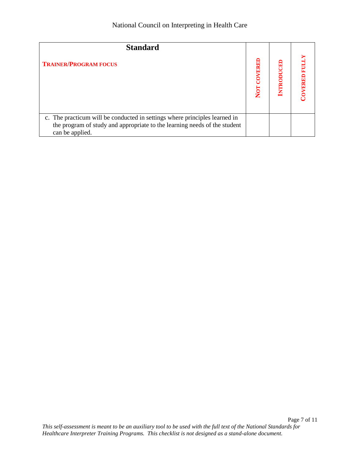| <b>Standard</b>                                                                                                                                                            |            |                |                           |
|----------------------------------------------------------------------------------------------------------------------------------------------------------------------------|------------|----------------|---------------------------|
| <b>TRAINER/PROGRAM FOCUS</b>                                                                                                                                               | RED<br>NOT | E<br>Ξ<br>INTR | Ę<br>VERED<br>$\tilde{S}$ |
| c. The practicum will be conducted in settings where principles learned in<br>the program of study and appropriate to the learning needs of the student<br>can be applied. |            |                |                           |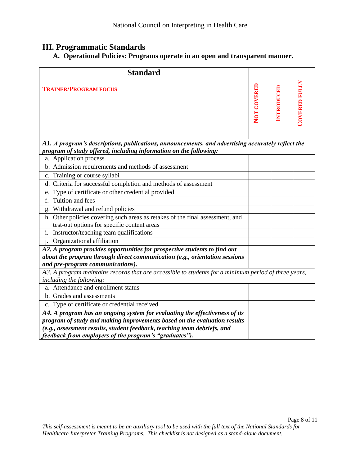## **III. Programmatic Standards**

### **A. Operational Policies: Programs operate in an open and transparent manner.**

| <b>Standard</b>                                                                                                                                                                             |             |                   |                      |
|---------------------------------------------------------------------------------------------------------------------------------------------------------------------------------------------|-------------|-------------------|----------------------|
| <b>TRAINER/PROGRAM FOCUS</b>                                                                                                                                                                | NOT COVERED | <b>INTRODUCED</b> | <b>COVERED FULLY</b> |
| A1. A program's descriptions, publications, announcements, and advertising accurately reflect the                                                                                           |             |                   |                      |
| program of study offered, including information on the following:                                                                                                                           |             |                   |                      |
| a. Application process                                                                                                                                                                      |             |                   |                      |
| b. Admission requirements and methods of assessment                                                                                                                                         |             |                   |                      |
| c. Training or course syllabi                                                                                                                                                               |             |                   |                      |
| d. Criteria for successful completion and methods of assessment                                                                                                                             |             |                   |                      |
| e. Type of certificate or other credential provided                                                                                                                                         |             |                   |                      |
| Tuition and fees<br>f.                                                                                                                                                                      |             |                   |                      |
| g. Withdrawal and refund policies                                                                                                                                                           |             |                   |                      |
| h. Other policies covering such areas as retakes of the final assessment, and<br>test-out options for specific content areas                                                                |             |                   |                      |
| i. Instructor/teaching team qualifications                                                                                                                                                  |             |                   |                      |
| Organizational affiliation<br>j.                                                                                                                                                            |             |                   |                      |
| A2. A program provides opportunities for prospective students to find out<br>about the program through direct communication (e.g., orientation sessions<br>and pre-program communications). |             |                   |                      |
| A3. A program maintains records that are accessible to students for a minimum period of three years,<br>including the following:                                                            |             |                   |                      |
| a. Attendance and enrollment status                                                                                                                                                         |             |                   |                      |
| b. Grades and assessments                                                                                                                                                                   |             |                   |                      |
| c. Type of certificate or credential received.                                                                                                                                              |             |                   |                      |
| A4. A program has an ongoing system for evaluating the effectiveness of its                                                                                                                 |             |                   |                      |
| program of study and making improvements based on the evaluation results                                                                                                                    |             |                   |                      |
| (e.g., assessment results, student feedback, teaching team debriefs, and                                                                                                                    |             |                   |                      |
| feedback from employers of the program's "graduates").                                                                                                                                      |             |                   |                      |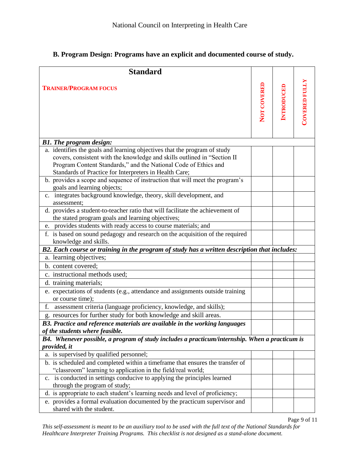### **B. Program Design: Programs have an explicit and documented course of study.**

| <b>Standard</b>                                                                                                                                                                                                                                                                    |                    |            |                      |
|------------------------------------------------------------------------------------------------------------------------------------------------------------------------------------------------------------------------------------------------------------------------------------|--------------------|------------|----------------------|
| <b>TRAINER/PROGRAM FOCUS</b>                                                                                                                                                                                                                                                       | <b>NOT COVERED</b> | INTRODUCED | <b>COVERED FULLY</b> |
| <b>B1.</b> The program design:                                                                                                                                                                                                                                                     |                    |            |                      |
| a. identifies the goals and learning objectives that the program of study<br>covers, consistent with the knowledge and skills outlined in "Section II<br>Program Content Standards," and the National Code of Ethics and<br>Standards of Practice for Interpreters in Health Care; |                    |            |                      |
| b. provides a scope and sequence of instruction that will meet the program's<br>goals and learning objects;                                                                                                                                                                        |                    |            |                      |
| c. integrates background knowledge, theory, skill development, and<br>assessment;                                                                                                                                                                                                  |                    |            |                      |
| d. provides a student-to-teacher ratio that will facilitate the achievement of<br>the stated program goals and learning objectives;                                                                                                                                                |                    |            |                      |
| e. provides students with ready access to course materials; and                                                                                                                                                                                                                    |                    |            |                      |
| f. is based on sound pedagogy and research on the acquisition of the required<br>knowledge and skills.                                                                                                                                                                             |                    |            |                      |
| B2. Each course or training in the program of study has a written description that includes:                                                                                                                                                                                       |                    |            |                      |
| a. learning objectives;                                                                                                                                                                                                                                                            |                    |            |                      |
| b. content covered;                                                                                                                                                                                                                                                                |                    |            |                      |
| c. instructional methods used;                                                                                                                                                                                                                                                     |                    |            |                      |
| d. training materials;                                                                                                                                                                                                                                                             |                    |            |                      |
| e. expectations of students (e.g., attendance and assignments outside training<br>or course time);                                                                                                                                                                                 |                    |            |                      |
| f.<br>assessment criteria (language proficiency, knowledge, and skills);                                                                                                                                                                                                           |                    |            |                      |
| g. resources for further study for both knowledge and skill areas.                                                                                                                                                                                                                 |                    |            |                      |
| B3. Practice and reference materials are available in the working languages<br>of the students where feasible.                                                                                                                                                                     |                    |            |                      |
| B4. Whenever possible, a program of study includes a practicum/internship. When a practicum is                                                                                                                                                                                     |                    |            |                      |
| provided, it                                                                                                                                                                                                                                                                       |                    |            |                      |
| a. is supervised by qualified personnel;                                                                                                                                                                                                                                           |                    |            |                      |
| b. is scheduled and completed within a timeframe that ensures the transfer of<br>"classroom" learning to application in the field/real world;                                                                                                                                      |                    |            |                      |
| c. is conducted in settings conducive to applying the principles learned<br>through the program of study;                                                                                                                                                                          |                    |            |                      |
| d. is appropriate to each student's learning needs and level of proficiency;                                                                                                                                                                                                       |                    |            |                      |
| e. provides a formal evaluation documented by the practicum supervisor and<br>shared with the student.                                                                                                                                                                             |                    |            |                      |

Page 9 of 11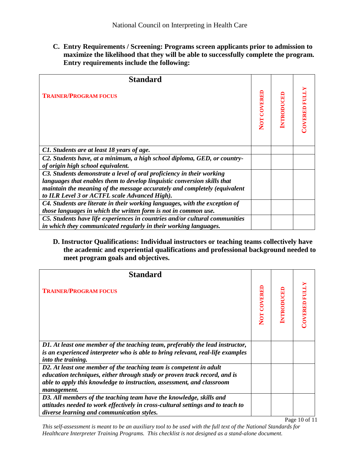**C. Entry Requirements / Screening: Programs screen applicants prior to admission to maximize the likelihood that they will be able to successfully complete the program. Entry requirements include the following:** 

| <b>Standard</b>                                                                                                                                                                                                                                                                 |                    |                   |                     |
|---------------------------------------------------------------------------------------------------------------------------------------------------------------------------------------------------------------------------------------------------------------------------------|--------------------|-------------------|---------------------|
| <b>TRAINER/PROGRAM FOCUS</b>                                                                                                                                                                                                                                                    | <b>NOT COVERED</b> | <b>INTRODUCED</b> | <b>COVERED FULI</b> |
| C1. Students are at least 18 years of age.                                                                                                                                                                                                                                      |                    |                   |                     |
| C2. Students have, at a minimum, a high school diploma, GED, or country-<br>of origin high school equivalent.                                                                                                                                                                   |                    |                   |                     |
| C3. Students demonstrate a level of oral proficiency in their working<br>languages that enables them to develop linguistic conversion skills that<br>maintain the meaning of the message accurately and completely (equivalent<br>to ILR Level 3 or ACTFL scale Advanced High). |                    |                   |                     |
| C4. Students are literate in their working languages, with the exception of<br>those languages in which the written form is not in common use.                                                                                                                                  |                    |                   |                     |
| C5. Students have life experiences in countries and/or cultural communities<br>in which they communicated regularly in their working languages.                                                                                                                                 |                    |                   |                     |

**D. Instructor Qualifications: Individual instructors or teaching teams collectively have the academic and experiential qualifications and professional background needed to meet program goals and objectives.** 

| <b>Standard</b>                                                                                                                                                                                                                          |                    |                   |                    |
|------------------------------------------------------------------------------------------------------------------------------------------------------------------------------------------------------------------------------------------|--------------------|-------------------|--------------------|
| <b>TRAINER/PROGRAM FOCUS</b>                                                                                                                                                                                                             | <b>NOT COVERED</b> | <b>INTRODUCED</b> | <b>JOVERED FUI</b> |
| D1. At least one member of the teaching team, preferably the lead instructor,<br>is an experienced interpreter who is able to bring relevant, real-life examples<br>into the training.                                                   |                    |                   |                    |
| D2. At least one member of the teaching team is competent in adult<br>education techniques, either through study or proven track record, and is<br>able to apply this knowledge to instruction, assessment, and classroom<br>management. |                    |                   |                    |
| D3. All members of the teaching team have the knowledge, skills and<br>attitudes needed to work effectively in cross-cultural settings and to teach to<br>diverse learning and communication styles.                                     |                    |                   | $D_{0.02}$ 10 of 1 |

Page 10 of 11